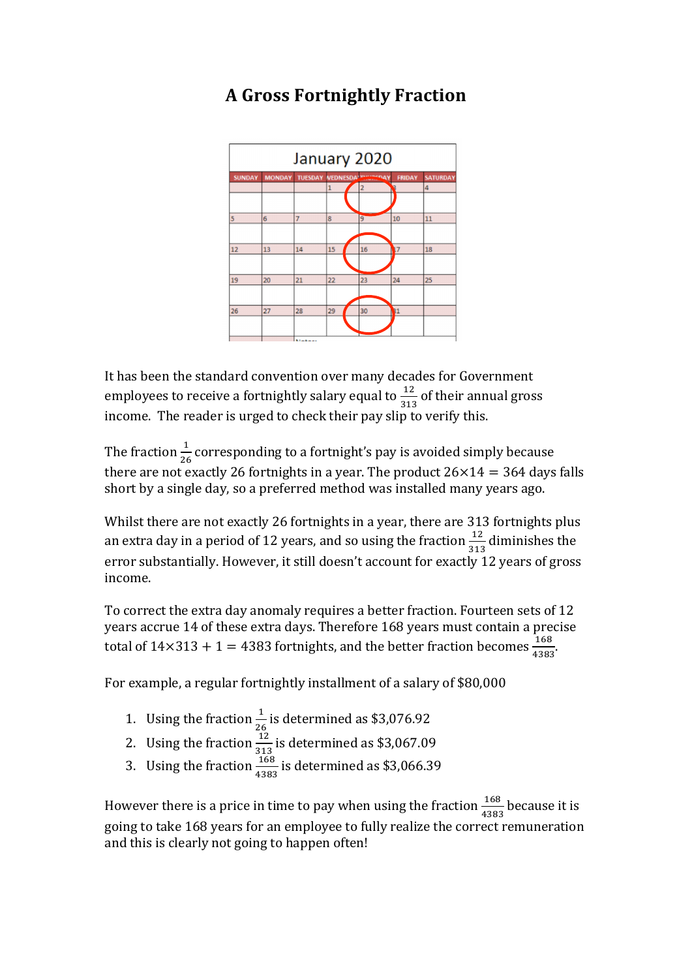## January 2020  $11$  $\overline{18}$  $19$  $\overline{20}$  $21$  $22$  $\overline{\mathbf{z}}$  $\overline{26}$  $\overline{27}$ 29

## **A Gross Fortnightly Fraction**

It has been the standard convention over many decades for Government employees to receive a fortnightly salary equal to  $\frac{12}{313}$  of their annual gross income. The reader is urged to check their pay slip to verify this.

The fraction  $\frac{1}{26}$  corresponding to a fortnight's pay is avoided simply because there are not exactly 26 fortnights in a year. The product  $26\times14 = 364$  days falls short by a single day, so a preferred method was installed many years ago.

Whilst there are not exactly 26 fortnights in a year, there are 313 fortnights plus an extra day in a period of 12 years, and so using the fraction  $\frac{12}{313}$  diminishes the error substantially. However, it still doesn't account for exactly 12 years of gross income.

To correct the extra day anomaly requires a better fraction. Fourteen sets of 12 years accrue 14 of these extra days. Therefore 168 years must contain a precise total of  $14 \times 313 + 1 = 4383$  fortnights, and the better fraction becomes  $\frac{168}{4383}$ .

For example, a regular fortnightly installment of a salary of \$80,000

- 1. Using the fraction  $\frac{1}{26}$  is determined as \$3,076.92
- 2. Using the fraction  $\frac{12}{313}$  is determined as \$3,067.09
- 3. Using the fraction  $\frac{168}{4383}$  is determined as \$3,066.39

However there is a price in time to pay when using the fraction  $\frac{168}{4383}$  because it is going to take 168 years for an employee to fully realize the correct remuneration and this is clearly not going to happen often!